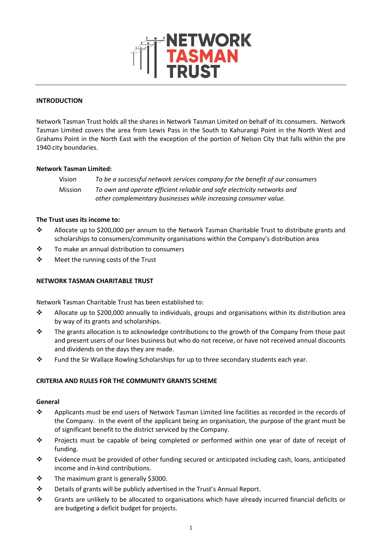

#### **INTRODUCTION**

Network Tasman Trust holds all the shares in Network Tasman Limited on behalf of its consumers. Network Tasman Limited covers the area from Lewis Pass in the South to Kahurangi Point in the North West and Grahams Point in the North East with the exception of the portion of Nelson City that falls within the pre 1940 city boundaries.

#### **Network Tasman Limited:**

Vision *To be a successful network services company for the benefit of our consumers* Mission *To own and operate efficient reliable and safe electricity networks and other complementary businesses while increasing consumer value.*

### **The Trust uses its income to:**

- ❖ Allocate up to \$200,000 per annum to the Network Tasman Charitable Trust to distribute grants and scholarships to consumers/community organisations within the Company's distribution area
- ❖ To make an annual distribution to consumers
- ❖ Meet the running costs of the Trust

#### **NETWORK TASMAN CHARITABLE TRUST**

Network Tasman Charitable Trust has been established to:

- ❖ Allocate up to \$200,000 annually to individuals, groups and organisations within its distribution area by way of its grants and scholarships.
- ❖ The grants allocation is to acknowledge contributions to the growth of the Company from those past and present users of our lines business but who do not receive, or have not received annual discounts and dividends on the days they are made.
- ❖ Fund the Sir Wallace Rowling Scholarships for up to three secondary students each year.

## **CRITERIA AND RULES FOR THE COMMUNITY GRANTS SCHEME**

#### **General**

- ❖ Applicants must be end users of Network Tasman Limited line facilities as recorded in the records of the Company. In the event of the applicant being an organisation, the purpose of the grant must be of significant benefit to the district serviced by the Company.
- ❖ Projects must be capable of being completed or performed within one year of date of receipt of funding.
- ❖ Evidence must be provided of other funding secured or anticipated including cash, loans, anticipated income and in-kind contributions.
- ❖ The maximum grant is generally \$3000.
- ❖ Details of grants will be publicly advertised in the Trust's Annual Report.
- ❖ Grants are unlikely to be allocated to organisations which have already incurred financial deficits or are budgeting a deficit budget for projects.